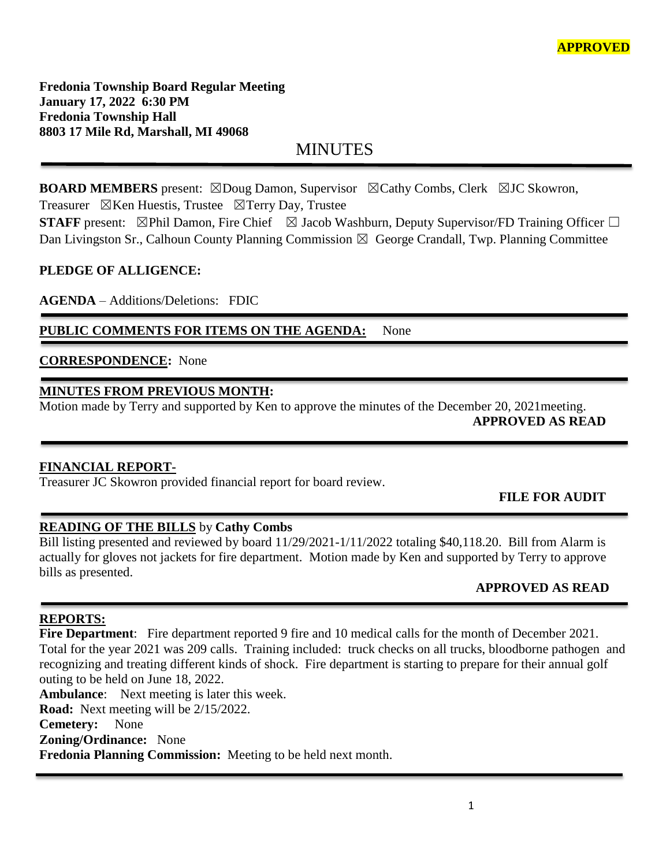**Fredonia Township Board Regular Meeting January 17, 2022 6:30 PM Fredonia Township Hall 8803 17 Mile Rd, Marshall, MI 49068**

MINUTES

**BOARD MEMBERS** present: ⊠Doug Damon, Supervisor ⊠Cathy Combs, Clerk ⊠JC Skowron, Treasurer  $\boxtimes$ Ken Huestis, Trustee  $\boxtimes$ Terry Day, Trustee

**STAFF** present: ⊠Phil Damon, Fire Chief ⊠ Jacob Washburn, Deputy Supervisor/FD Training Officer □ Dan Livingston Sr., Calhoun County Planning Commission  $\boxtimes$  George Crandall, Twp. Planning Committee

## **PLEDGE OF ALLIGENCE:**

**AGENDA** – Additions/Deletions: FDIC

PUBLIC COMMENTS FOR ITEMS ON THE AGENDA: None

## **CORRESPONDENCE:** None

## **MINUTES FROM PREVIOUS MONTH:**

Motion made by Terry and supported by Ken to approve the minutes of the December 20, 2021meeting.

l

**APPROVED AS READ**

## **FINANCIAL REPORT-**

Treasurer JC Skowron provided financial report for board review.

## **FILE FOR AUDIT**

## **READING OF THE BILLS** by **Cathy Combs**

Bill listing presented and reviewed by board 11/29/2021-1/11/2022 totaling \$40,118.20. Bill from Alarm is actually for gloves not jackets for fire department. Motion made by Ken and supported by Terry to approve bills as presented.

## **APPROVED AS READ**

## **REPORTS:**

**Fire Department**: Fire department reported 9 fire and 10 medical calls for the month of December 2021. Total for the year 2021 was 209 calls. Training included: truck checks on all trucks, bloodborne pathogen and recognizing and treating different kinds of shock. Fire department is starting to prepare for their annual golf outing to be held on June 18, 2022.

**Ambulance**: Next meeting is later this week. **Road:** Next meeting will be 2/15/2022. **Cemetery:** None **Zoning/Ordinance:** None **Fredonia Planning Commission:** Meeting to be held next month.